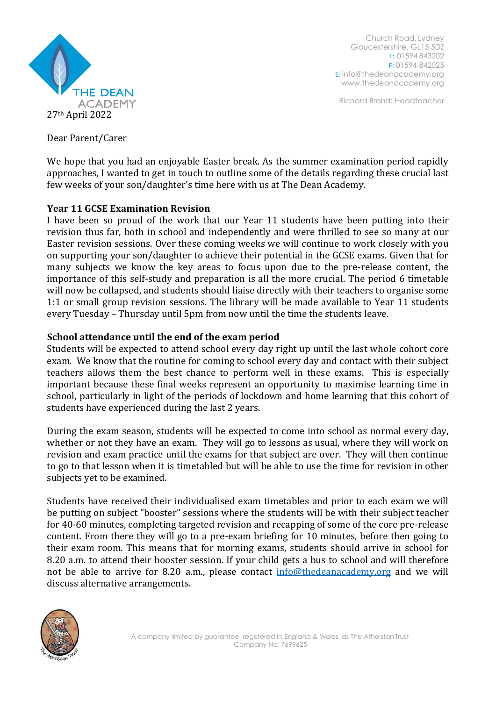

Church Road, Lydney Gloucestershire, GL15 5DZ T: 01594 843202 F: 01594 842025 E: [info@thedeanacademy.org](mailto:info@thedeanacademy.org) [www.thedeanacademy.org](http://www.thedeanacademy.org/)

Richard Brand: Headteacher

Dear Parent/Carer

We hope that you had an enjoyable Easter break. As the summer examination period rapidly approaches, I wanted to get in touch to outline some of the details regarding these crucial last few weeks of your son/daughter's time here with us at The Dean Academy.

# **Year 11 GCSE Examination Revision**

I have been so proud of the work that our Year 11 students have been putting into their revision thus far, both in school and independently and were thrilled to see so many at our Easter revision sessions. Over these coming weeks we will continue to work closely with you on supporting your son/daughter to achieve their potential in the GCSE exams. Given that for many subjects we know the key areas to focus upon due to the pre-release content, the importance of this self-study and preparation is all the more crucial. The period 6 timetable will now be collapsed, and students should liaise directly with their teachers to organise some 1:1 or small group revision sessions. The library will be made available to Year 11 students every Tuesday – Thursday until 5pm from now until the time the students leave.

# **School attendance until the end of the exam period**

Students will be expected to attend school every day right up until the last whole cohort core exam. We know that the routine for coming to school every day and contact with their subject teachers allows them the best chance to perform well in these exams. This is especially important because these final weeks represent an opportunity to maximise learning time in school, particularly in light of the periods of lockdown and home learning that this cohort of students have experienced during the last 2 years.

During the exam season, students will be expected to come into school as normal every day, whether or not they have an exam. They will go to lessons as usual, where they will work on revision and exam practice until the exams for that subject are over. They will then continue to go to that lesson when it is timetabled but will be able to use the time for revision in other subjects yet to be examined.

Students have received their individualised exam timetables and prior to each exam we will be putting on subject "booster" sessions where the students will be with their subject teacher for 40-60 minutes, completing targeted revision and recapping of some of the core pre-release content. From there they will go to a pre-exam briefing for 10 minutes, before then going to their exam room. This means that for morning exams, students should arrive in school for 8.20 a.m. to attend their booster session. If your child gets a bus to school and will therefore not be able to arrive for 8.20 a.m., please contact [info@thedeanacademy.org](mailto:info@thedeanacademy.org) and we will discuss alternative arrangements.

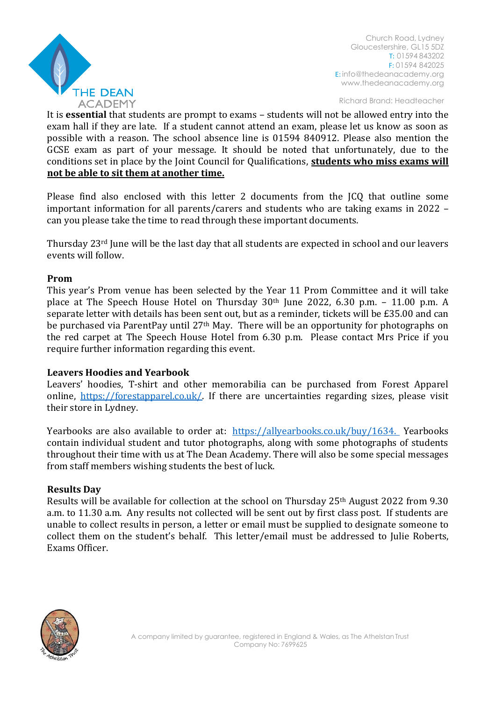

Church Road, Lydney Gloucestershire, GL15 5DZ T: 01594 843202 F: 01594 842025 E: [info@thedeanacademy.org](mailto:info@thedeanacademy.org) [www.thedeanacademy.org](http://www.thedeanacademy.org/)

Richard Brand: Headteacher

It is **essential** that students are prompt to exams – students will not be allowed entry into the exam hall if they are late. If a student cannot attend an exam, please let us know as soon as possible with a reason. The school absence line is 01594 840912. Please also mention the GCSE exam as part of your message. It should be noted that unfortunately, due to the conditions set in place by the Joint Council for Qualifications, **students who miss exams will not be able to sit them at another time.**

Please find also enclosed with this letter 2 documents from the JCQ that outline some important information for all parents/carers and students who are taking exams in 2022 – can you please take the time to read through these important documents.

Thursday 23rd June will be the last day that all students are expected in school and our leavers events will follow.

#### **Prom**

This year's Prom venue has been selected by the Year 11 Prom Committee and it will take place at The Speech House Hotel on Thursday 30th June 2022, 6.30 p.m. – 11.00 p.m. A separate letter with details has been sent out, but as a reminder, tickets will be £35.00 and can be purchased via ParentPay until 27th May. There will be an opportunity for photographs on the red carpet at The Speech House Hotel from 6.30 p.m. Please contact Mrs Price if you require further information regarding this event.

## **Leavers Hoodies and Yearbook**

Leavers' hoodies, T-shirt and other memorabilia can be purchased from Forest Apparel online, [https://forestapparel.co.uk/.](https://forestapparel.co.uk/) If there are uncertainties regarding sizes, please visit their store in Lydney.

Yearbooks are also available to order at: <https://allyearbooks.co.uk/buy/1634.> Yearbooks contain individual student and tutor photographs, along with some photographs of students throughout their time with us at The Dean Academy. There will also be some special messages from staff members wishing students the best of luck.

#### **Results Day**

Results will be available for collection at the school on Thursday 25th August 2022 from 9.30 a.m. to 11.30 a.m. Any results not collected will be sent out by first class post. If students are unable to collect results in person, a letter or email must be supplied to designate someone to collect them on the student's behalf. This letter/email must be addressed to Julie Roberts, Exams Officer.